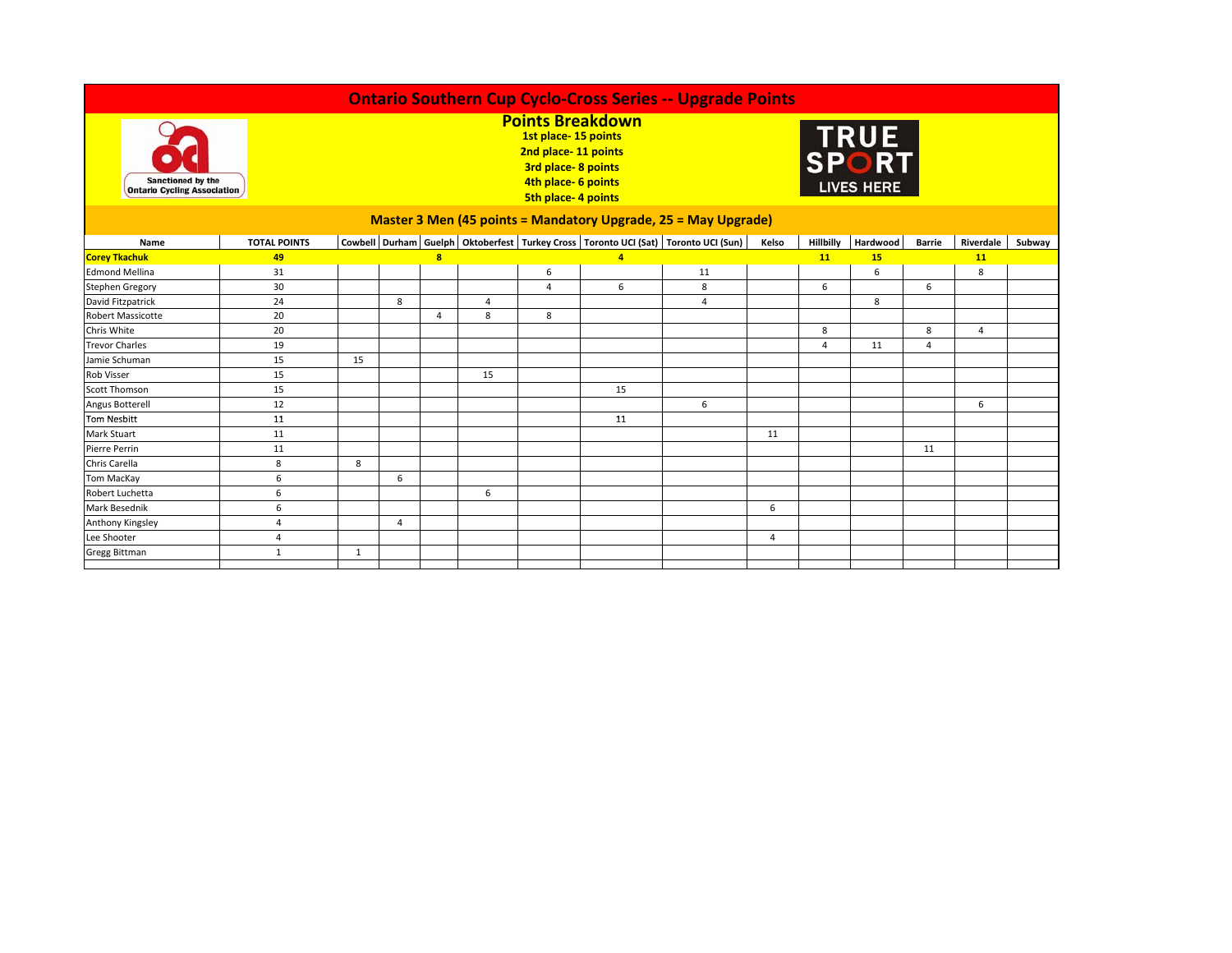| <b>Sanctioned by the</b><br><b>Ontario Cycling Association</b> |                     | <b>Ontario Southern Cup Cyclo-Cross Series -- Upgrade Points</b><br><b>Points Breakdown</b><br>1st place-15 points<br>2nd place-11 points<br>3rd place-8 points<br>4th place- 6 points<br><b>5th place-4 points</b> |   |                         |    |                |                |                                                                                                |                |           | TRUE<br>SPORT<br><b>LIVES HERE</b> |                |           |        |  |  |
|----------------------------------------------------------------|---------------------|---------------------------------------------------------------------------------------------------------------------------------------------------------------------------------------------------------------------|---|-------------------------|----|----------------|----------------|------------------------------------------------------------------------------------------------|----------------|-----------|------------------------------------|----------------|-----------|--------|--|--|
|                                                                |                     |                                                                                                                                                                                                                     |   |                         |    |                |                | <b>Master 3 Men (45 points = Mandatory Upgrade, 25 = May Upgrade)</b>                          |                |           |                                    |                |           |        |  |  |
| Name                                                           | <b>TOTAL POINTS</b> |                                                                                                                                                                                                                     |   |                         |    |                |                | Cowbell   Durham   Guelph   Oktoberfest   Turkey Cross   Toronto UCI (Sat)   Toronto UCI (Sun) | Kelso          | Hillbilly | Hardwood                           | <b>Barrie</b>  | Riverdale | Subway |  |  |
| <b>Corey Tkachuk</b>                                           | 49                  |                                                                                                                                                                                                                     |   | $\overline{\mathbf{8}}$ |    |                | $\overline{4}$ |                                                                                                |                | 11        | 15                                 |                | 11        |        |  |  |
| <b>Edmond Mellina</b>                                          | 31                  |                                                                                                                                                                                                                     |   |                         |    | 6              |                | 11                                                                                             |                |           | 6                                  |                | 8         |        |  |  |
| <b>Stephen Gregory</b>                                         | 30                  |                                                                                                                                                                                                                     |   |                         |    | $\overline{4}$ | 6              | 8                                                                                              |                | 6         |                                    | 6              |           |        |  |  |
| David Fitzpatrick                                              | 24                  |                                                                                                                                                                                                                     | 8 |                         | 4  |                |                | 4                                                                                              |                |           | 8                                  |                |           |        |  |  |
| Robert Massicotte                                              | 20                  |                                                                                                                                                                                                                     |   | 4                       | 8  | 8              |                |                                                                                                |                |           |                                    |                |           |        |  |  |
| Chris White                                                    | 20                  |                                                                                                                                                                                                                     |   |                         |    |                |                |                                                                                                |                | 8         |                                    | 8              | 4         |        |  |  |
| <b>Trevor Charles</b>                                          | 19                  |                                                                                                                                                                                                                     |   |                         |    |                |                |                                                                                                |                | 4         | 11                                 | $\overline{4}$ |           |        |  |  |
| Jamie Schuman                                                  | 15                  | 15                                                                                                                                                                                                                  |   |                         |    |                |                |                                                                                                |                |           |                                    |                |           |        |  |  |
| <b>Rob Visser</b>                                              | 15                  |                                                                                                                                                                                                                     |   |                         | 15 |                |                |                                                                                                |                |           |                                    |                |           |        |  |  |
| <b>Scott Thomson</b>                                           | 15                  |                                                                                                                                                                                                                     |   |                         |    |                | 15             |                                                                                                |                |           |                                    |                |           |        |  |  |
| Angus Botterell                                                | 12                  |                                                                                                                                                                                                                     |   |                         |    |                |                | 6                                                                                              |                |           |                                    |                | 6         |        |  |  |
| Tom Nesbitt                                                    | 11                  |                                                                                                                                                                                                                     |   |                         |    |                | 11             |                                                                                                |                |           |                                    |                |           |        |  |  |
| Mark Stuart                                                    | 11                  |                                                                                                                                                                                                                     |   |                         |    |                |                |                                                                                                | 11             |           |                                    |                |           |        |  |  |
| Pierre Perrin                                                  | 11                  |                                                                                                                                                                                                                     |   |                         |    |                |                |                                                                                                |                |           |                                    | 11             |           |        |  |  |
| Chris Carella                                                  | 8                   | 8                                                                                                                                                                                                                   |   |                         |    |                |                |                                                                                                |                |           |                                    |                |           |        |  |  |
| Tom MacKay                                                     | 6                   |                                                                                                                                                                                                                     | 6 |                         |    |                |                |                                                                                                |                |           |                                    |                |           |        |  |  |
| Robert Luchetta                                                | 6                   |                                                                                                                                                                                                                     |   |                         | 6  |                |                |                                                                                                |                |           |                                    |                |           |        |  |  |
| <b>Mark Besednik</b>                                           | 6                   |                                                                                                                                                                                                                     |   |                         |    |                |                |                                                                                                | 6              |           |                                    |                |           |        |  |  |
| Anthony Kingsley                                               | 4                   |                                                                                                                                                                                                                     | 4 |                         |    |                |                |                                                                                                |                |           |                                    |                |           |        |  |  |
| Lee Shooter                                                    | 4                   |                                                                                                                                                                                                                     |   |                         |    |                |                |                                                                                                | $\overline{4}$ |           |                                    |                |           |        |  |  |
| <b>Gregg Bittman</b>                                           | 1                   | 1                                                                                                                                                                                                                   |   |                         |    |                |                |                                                                                                |                |           |                                    |                |           |        |  |  |
|                                                                |                     |                                                                                                                                                                                                                     |   |                         |    |                |                |                                                                                                |                |           |                                    |                |           |        |  |  |